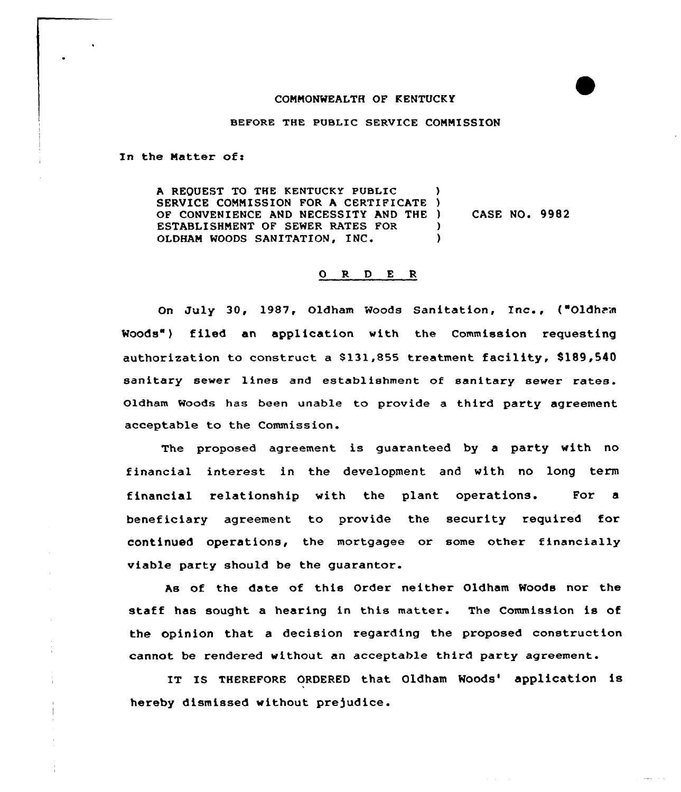## COMMONWEALTH OF KENTUCKY

BEFORE THE PUBLIC SERVICE COMMISSION

In the Matter of:

A REQUEST TO THE KENTUCKY PUBLIC SERVICE COMMISSION FOR A CERTIFICATE ) CASE NO. 9982 OF CONVENIENCE AND NECESSITY AND THE ) ESTABLISHMENT OF SEWER RATES FOR  $)$ OLDHAM WOODS SANITATION, INC.  $\lambda$ 

## 0 R <sup>D</sup> E <sup>R</sup>

On July 30, 1987, Oldham Woods Sanitation, Inc., ("Oldham Woods") filed an application with the Commission requesting authorization to construct <sup>a</sup> 8131,855 treatment facility, 8189,540 sanitary sewer lines and establishment of sanitary sewer rates. Oldham Woods has been unable to provide a third party agreement acceptable to the Commission.

The proposed agreement is guaranteed by a party with no financial interest in the development and with no long term financial relationship with the plant operations. For a beneficiary agreement to provide the security required for continued operations, the mortgagee or some other financially viable party should be the guarantor.

As of the date of this Order neither Oldham Moods nor the staff has sought a hearing in this matter. The Commission is of the opinion that a decision regarding the proposed construction cannot be rendered without an acceptable third party agreement.

IT IS THEREFORE ORDERED that Oldham Woods' application is hereby dismissed without prejudice.